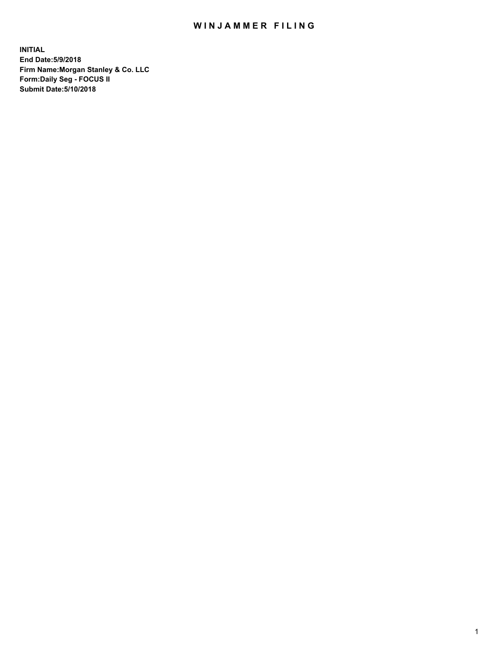## WIN JAMMER FILING

**INITIAL End Date:5/9/2018 Firm Name:Morgan Stanley & Co. LLC Form:Daily Seg - FOCUS II Submit Date:5/10/2018**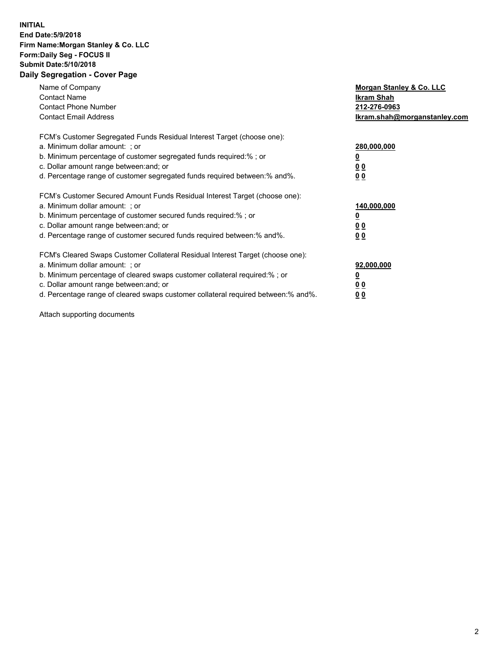## **INITIAL End Date:5/9/2018 Firm Name:Morgan Stanley & Co. LLC Form:Daily Seg - FOCUS II Submit Date:5/10/2018 Daily Segregation - Cover Page**

| Name of Company<br><b>Contact Name</b><br><b>Contact Phone Number</b><br><b>Contact Email Address</b>                                                                                                                                                                                                                         | Morgan Stanley & Co. LLC<br>Ikram Shah<br>212-276-0963<br>lkram.shah@morganstanley.com |
|-------------------------------------------------------------------------------------------------------------------------------------------------------------------------------------------------------------------------------------------------------------------------------------------------------------------------------|----------------------------------------------------------------------------------------|
| FCM's Customer Segregated Funds Residual Interest Target (choose one):<br>a. Minimum dollar amount: ; or<br>b. Minimum percentage of customer segregated funds required:%; or<br>c. Dollar amount range between: and; or<br>d. Percentage range of customer segregated funds required between:% and%.                         | 280,000,000<br><u>0</u><br>0 <sub>0</sub><br>0 <sub>0</sub>                            |
| FCM's Customer Secured Amount Funds Residual Interest Target (choose one):<br>a. Minimum dollar amount: ; or<br>b. Minimum percentage of customer secured funds required:%; or<br>c. Dollar amount range between: and; or<br>d. Percentage range of customer secured funds required between: % and %.                         | 140,000,000<br><u>0</u><br>0 <sub>0</sub><br>0 <sub>0</sub>                            |
| FCM's Cleared Swaps Customer Collateral Residual Interest Target (choose one):<br>a. Minimum dollar amount: ; or<br>b. Minimum percentage of cleared swaps customer collateral required:%; or<br>c. Dollar amount range between: and; or<br>d. Percentage range of cleared swaps customer collateral required between:% and%. | 92,000,000<br>0 <sub>0</sub><br>0 <sub>0</sub>                                         |

Attach supporting documents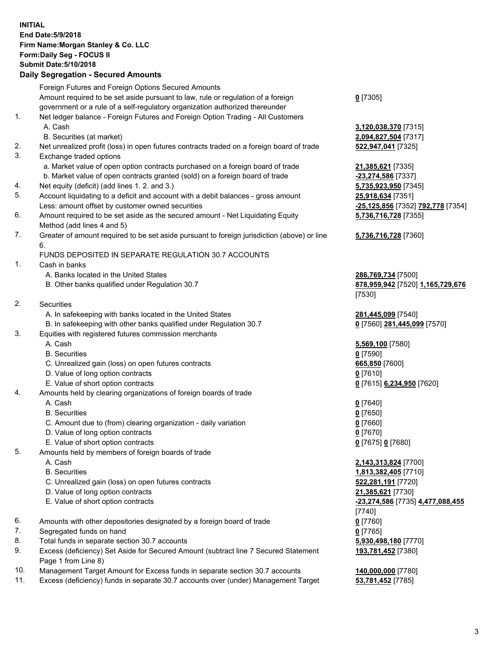## **INITIAL End Date:5/9/2018 Firm Name:Morgan Stanley & Co. LLC Form:Daily Seg - FOCUS II Submit Date:5/10/2018 Daily Segregation - Secured Amounts**

Foreign Futures and Foreign Options Secured Amounts Amount required to be set aside pursuant to law, rule or regulation of a foreign government or a rule of a self-regulatory organization authorized thereunder **0** [7305] 1. Net ledger balance - Foreign Futures and Foreign Option Trading - All Customers A. Cash **3,120,038,370** [7315] B. Securities (at market) **2,094,827,504** [7317] 2. Net unrealized profit (loss) in open futures contracts traded on a foreign board of trade **522,947,041** [7325] 3. Exchange traded options a. Market value of open option contracts purchased on a foreign board of trade **21,385,621** [7335] b. Market value of open contracts granted (sold) on a foreign board of trade **-23,274,586** [7337] 4. Net equity (deficit) (add lines 1. 2. and 3.) **5,735,923,950** [7345] 5. Account liquidating to a deficit and account with a debit balances - gross amount **25,918,634** [7351] Less: amount offset by customer owned securities **-25,125,856** [7352] **792,778** [7354] 6. Amount required to be set aside as the secured amount - Net Liquidating Equity Method (add lines 4 and 5) 7. Greater of amount required to be set aside pursuant to foreign jurisdiction (above) or line 6. FUNDS DEPOSITED IN SEPARATE REGULATION 30.7 ACCOUNTS 1. Cash in banks A. Banks located in the United States **286,769,734** [7500] B. Other banks qualified under Regulation 30.7 **878,959,942** [7520] **1,165,729,676** [7530] 2. Securities A. In safekeeping with banks located in the United States **281,445,099** [7540] B. In safekeeping with other banks qualified under Regulation 30.7 **0** [7560] **281,445,099** [7570] 3. Equities with registered futures commission merchants A. Cash **5,569,100** [7580] B. Securities **0** [7590] C. Unrealized gain (loss) on open futures contracts **665,850** [7600] D. Value of long option contracts **0** [7610] E. Value of short option contracts **0** [7615] **6,234,950** [7620] 4. Amounts held by clearing organizations of foreign boards of trade A. Cash **0** [7640] B. Securities **0** [7650] C. Amount due to (from) clearing organization - daily variation **0** [7660] D. Value of long option contracts **0** [7670] E. Value of short option contracts **0** [7675] **0** [7680] 5. Amounts held by members of foreign boards of trade A. Cash **2,143,313,824** [7700] B. Securities **1,813,382,405** [7710] C. Unrealized gain (loss) on open futures contracts **522,281,191** [7720] D. Value of long option contracts **21,385,621** [7730] E. Value of short option contracts **-23,274,586** [7735] **4,477,088,455** [7740] 6. Amounts with other depositories designated by a foreign board of trade **0** [7760] 7. Segregated funds on hand **0** [7765] 8. Total funds in separate section 30.7 accounts **5,930,498,180** [7770] 9. Excess (deficiency) Set Aside for Secured Amount (subtract line 7 Secured Statement Page 1 from Line 8)

- 10. Management Target Amount for Excess funds in separate section 30.7 accounts **140,000,000** [7780]
- 11. Excess (deficiency) funds in separate 30.7 accounts over (under) Management Target **53,781,452** [7785]

**5,736,716,728** [7355] **5,736,716,728** [7360]

**193,781,452** [7380]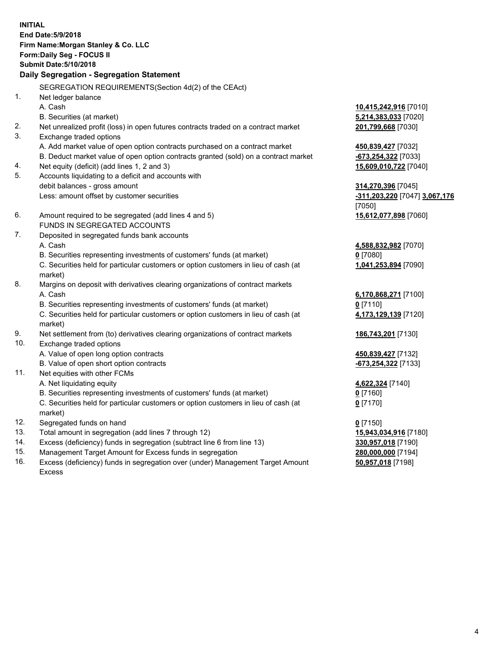**INITIAL End Date:5/9/2018 Firm Name:Morgan Stanley & Co. LLC Form:Daily Seg - FOCUS II Submit Date:5/10/2018 Daily Segregation - Segregation Statement** SEGREGATION REQUIREMENTS(Section 4d(2) of the CEAct) 1. Net ledger balance A. Cash **10,415,242,916** [7010] B. Securities (at market) **5,214,383,033** [7020] 2. Net unrealized profit (loss) in open futures contracts traded on a contract market **201,799,668** [7030] 3. Exchange traded options A. Add market value of open option contracts purchased on a contract market **450,839,427** [7032] B. Deduct market value of open option contracts granted (sold) on a contract market **-673,254,322** [7033] 4. Net equity (deficit) (add lines 1, 2 and 3) **15,609,010,722** [7040] 5. Accounts liquidating to a deficit and accounts with debit balances - gross amount **314,270,396** [7045] Less: amount offset by customer securities **-311,203,220** [7047] **3,067,176** [7050] 6. Amount required to be segregated (add lines 4 and 5) **15,612,077,898** [7060] FUNDS IN SEGREGATED ACCOUNTS 7. Deposited in segregated funds bank accounts A. Cash **4,588,832,982** [7070] B. Securities representing investments of customers' funds (at market) **0** [7080] C. Securities held for particular customers or option customers in lieu of cash (at market) **1,041,253,894** [7090] 8. Margins on deposit with derivatives clearing organizations of contract markets A. Cash **6,170,868,271** [7100] B. Securities representing investments of customers' funds (at market) **0** [7110] C. Securities held for particular customers or option customers in lieu of cash (at market) **4,173,129,139** [7120] 9. Net settlement from (to) derivatives clearing organizations of contract markets **186,743,201** [7130] 10. Exchange traded options A. Value of open long option contracts **450,839,427** [7132] B. Value of open short option contracts **-673,254,322** [7133] 11. Net equities with other FCMs A. Net liquidating equity **4,622,324** [7140] B. Securities representing investments of customers' funds (at market) **0** [7160] C. Securities held for particular customers or option customers in lieu of cash (at market) **0** [7170] 12. Segregated funds on hand **0** [7150] 13. Total amount in segregation (add lines 7 through 12) **15,943,034,916** [7180] 14. Excess (deficiency) funds in segregation (subtract line 6 from line 13) **330,957,018** [7190]

- 15. Management Target Amount for Excess funds in segregation **280,000,000** [7194]
- 16. Excess (deficiency) funds in segregation over (under) Management Target Amount Excess

**50,957,018** [7198]